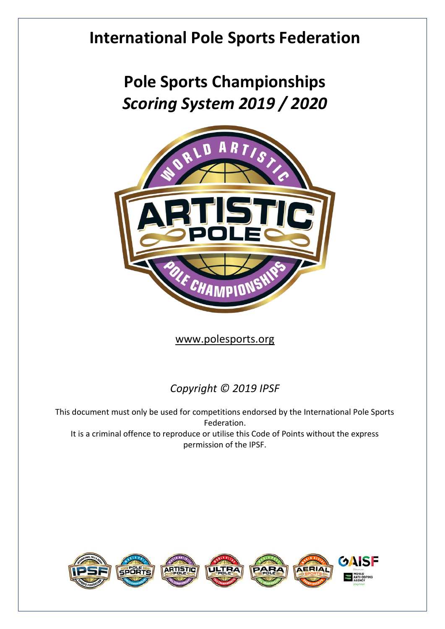## **International Pole Sports Federation**

## **Pole Sports Championships** *Scoring System 2019 / 2020*



[www.polesports.org](http://www.polesports.org/)

## *Copyright © 2019 IPSF*

This document must only be used for competitions endorsed by the International Pole Sports Federation. It is a criminal offence to reproduce or utilise this Code of Points without the express permission of the IPSF.

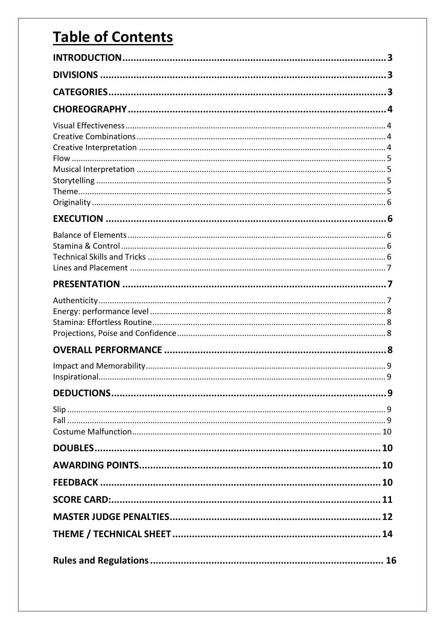## **Table of Contents**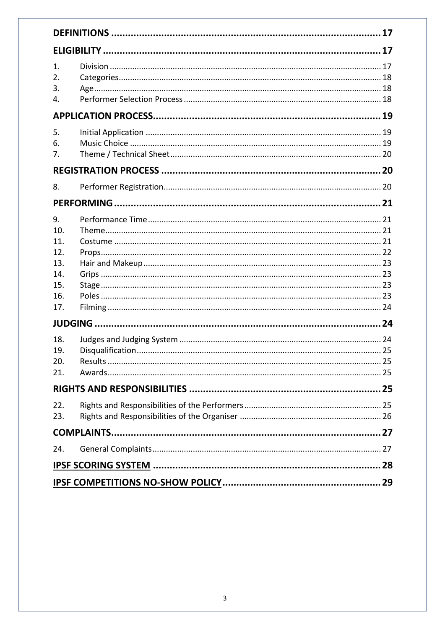| 1.<br>2.<br>3.<br>4.                                                     |  |  |  |
|--------------------------------------------------------------------------|--|--|--|
|                                                                          |  |  |  |
| 5.<br>6.<br>7.                                                           |  |  |  |
|                                                                          |  |  |  |
| 8.                                                                       |  |  |  |
|                                                                          |  |  |  |
| 9.<br>10.<br>11.<br>12.<br>13.<br>14.<br>15.<br>16.<br>17.<br>18.<br>19. |  |  |  |
| 20.                                                                      |  |  |  |
| 21.                                                                      |  |  |  |
|                                                                          |  |  |  |
| 22.<br>23.                                                               |  |  |  |
|                                                                          |  |  |  |
| 24.                                                                      |  |  |  |
|                                                                          |  |  |  |
|                                                                          |  |  |  |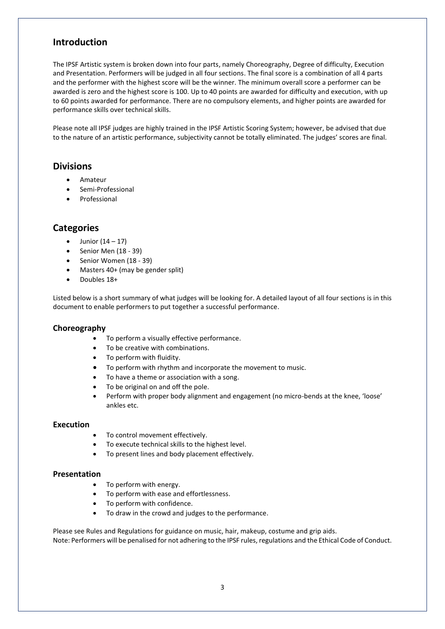## **Introduction**

The IPSF Artistic system is broken down into four parts, namely Choreography, Degree of difficulty, Execution and Presentation. Performers will be judged in all four sections. The final score is a combination of all 4 parts and the performer with the highest score will be the winner. The minimum overall score a performer can be awarded is zero and the highest score is 100. Up to 40 points are awarded for difficulty and execution, with up to 60 points awarded for performance. There are no compulsory elements, and higher points are awarded for performance skills over technical skills.

Please note all IPSF judges are highly trained in the IPSF Artistic Scoring System; however, be advised that due to the nature of an artistic performance, subjectivity cannot be totally eliminated. The judges' scores are final.

#### **Divisions**

- Amateur
- Semi-Professional
- **Professional**

## **Categories**

- Junior  $(14 17)$
- Senior Men (18 39)
- Senior Women (18 39)
- Masters 40+ (may be gender split)
- Doubles 18+

Listed below is a short summary of what judges will be looking for. A detailed layout of all four sections is in this document to enable performers to put together a successful performance.

#### **Choreography**

- To perform a visually effective performance.
- To be creative with combinations.
- To perform with fluidity.
- To perform with rhythm and incorporate the movement to music.
- To have a theme or association with a song.
- To be original on and off the pole.
- Perform with proper body alignment and engagement (no micro-bends at the knee, 'loose' ankles etc.

#### **Execution**

- To control movement effectively.
- To execute technical skills to the highest level.
- To present lines and body placement effectively.

#### **Presentation**

- To perform with energy.
- To perform with ease and effortlessness.
- To perform with confidence.
- To draw in the crowd and judges to the performance.

Please see Rules and Regulations for guidance on music, hair, makeup, costume and grip aids. Note: Performers will be penalised for not adhering to the IPSF rules, regulations and the Ethical Code of Conduct.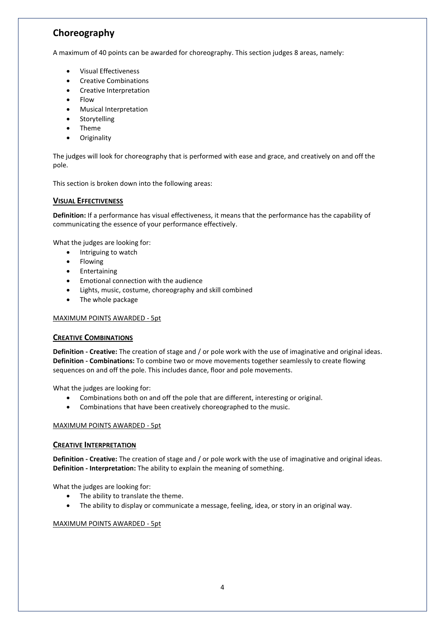## **Choreography**

A maximum of 40 points can be awarded for choreography. This section judges 8 areas, namely:

- Visual Effectiveness
- Creative Combinations
- Creative Interpretation
- Flow
- Musical Interpretation
- Storytelling
- Theme
- **Originality**

The judges will look for choreography that is performed with ease and grace, and creatively on and off the pole.

This section is broken down into the following areas:

#### **VISUAL EFFECTIVENESS**

**Definition:** If a performance has visual effectiveness, it means that the performance has the capability of communicating the essence of your performance effectively.

What the judges are looking for:

- Intriguing to watch
- Flowing
- Entertaining
- Emotional connection with the audience
- Lights, music, costume, choreography and skill combined
- The whole package

#### MAXIMUM POINTS AWARDED - 5pt

#### **CREATIVE COMBINATIONS**

**Definition - Creative:** The creation of stage and / or pole work with the use of imaginative and original ideas. **Definition - Combinations:** To combine two or move movements together seamlessly to create flowing sequences on and off the pole. This includes dance, floor and pole movements.

What the judges are looking for:

- Combinations both on and off the pole that are different, interesting or original.
- Combinations that have been creatively choreographed to the music.

#### MAXIMUM POINTS AWARDED - 5pt

#### **CREATIVE INTERPRETATION**

**Definition - Creative:** The creation of stage and / or pole work with the use of imaginative and original ideas. **Definition - Interpretation:** The ability to explain the meaning of something.

What the judges are looking for:

- The ability to translate the theme.
- The ability to display or communicate a message, feeling, idea, or story in an original way.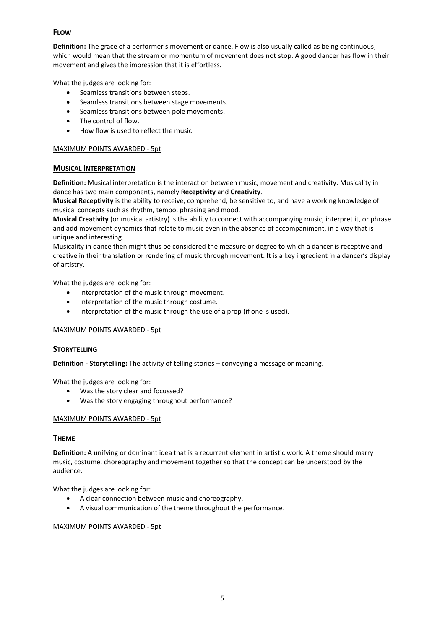### **FLOW**

**Definition:** The grace of a performer's movement or dance. Flow is also usually called as being continuous, which would mean that the stream or momentum of movement does not stop. A good dancer has flow in their movement and gives the impression that it is effortless.

What the judges are looking for:

- Seamless transitions between steps.
- Seamless transitions between stage movements.
- Seamless transitions between pole movements.
- The control of flow.
- How flow is used to reflect the music.

#### MAXIMUM POINTS AWARDED - 5pt

#### **MUSICAL INTERPRETATION**

**Definition:** Musical interpretation is the interaction between music, movement and creativity. Musicality in dance has two main components, namely **Receptivity** and **Creativity**.

**Musical Receptivity** is the ability to receive, comprehend, be sensitive to, and have a working knowledge of musical concepts such as rhythm, tempo, phrasing and mood.

**Musical Creativity** (or musical artistry) is the ability to connect with accompanying music, interpret it, or phrase and add movement dynamics that relate to music even in the absence of accompaniment, in a way that is unique and interesting.

Musicality in dance then might thus be considered the measure or degree to which a dancer is receptive and creative in their translation or rendering of music through movement. It is a key ingredient in a dancer's display of artistry.

What the judges are looking for:

- Interpretation of the music through movement.
- Interpretation of the music through costume.
- Interpretation of the music through the use of a prop (if one is used).

#### MAXIMUM POINTS AWARDED - 5pt

#### **STORYTELLING**

**Definition - Storytelling:** The activity of telling stories – conveying a message or meaning.

What the judges are looking for:

- Was the story clear and focussed?
- Was the story engaging throughout performance?

#### MAXIMUM POINTS AWARDED - 5pt

#### **THEME**

**Definition:** A unifying or dominant idea that is a recurrent element in artistic work. A theme should marry music, costume, choreography and movement together so that the concept can be understood by the audience.

What the judges are looking for:

- A clear connection between music and choreography.
- A visual communication of the theme throughout the performance.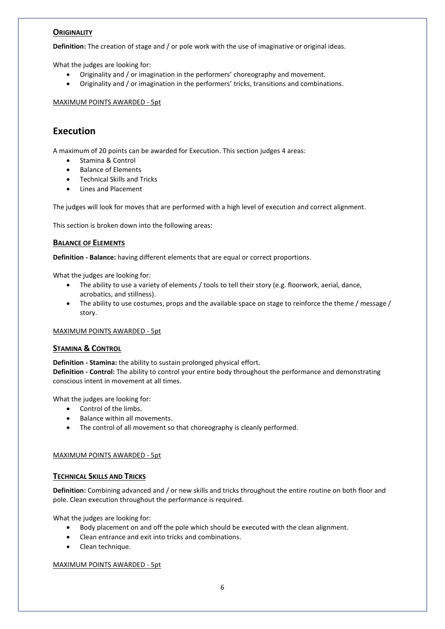#### **ORIGINALITY**

**Definition:** The creation of stage and / or pole work with the use of imaginative or original ideas.

What the judges are looking for:

- Originality and / or imagination in the performers' choreography and movement.
- Originality and / or imagination in the performers' tricks, transitions and combinations.

MAXIMUM POINTS AWARDED - 5pt

## **Execution**

A maximum of 20 points can be awarded for Execution. This section judges 4 areas:

- Stamina & Control
- Balance of Elements
- Technical Skills and Tricks
- Lines and Placement

The judges will look for moves that are performed with a high level of execution and correct alignment.

This section is broken down into the following areas:

#### **BALANCE OF ELEMENTS**

**Definition - Balance:** having different elements that are equal or correct proportions.

What the judges are looking for:

- The ability to use a variety of elements / tools to tell their story (e.g. floorwork, aerial, dance, acrobatics, and stillness).
- The ability to use costumes, props and the available space on stage to reinforce the theme / message / story.

#### MAXIMUM POINTS AWARDED - 5pt

#### **STAMINA & CONTROL**

**Definition - Stamina:** the ability to sustain prolonged physical effort. **Definition - Control:** The ability to control your entire body throughout the performance and demonstrating conscious intent in movement at all times.

What the judges are looking for:

- Control of the limbs.
- Balance within all movements.
- The control of all movement so that choreography is cleanly performed.

#### MAXIMUM POINTS AWARDED - 5pt

#### **TECHNICAL SKILLS AND TRICKS**

**Definition:** Combining advanced and / or new skills and tricks throughout the entire routine on both floor and pole. Clean execution throughout the performance is required.

What the judges are looking for:

- Body placement on and off the pole which should be executed with the clean alignment.
- Clean entrance and exit into tricks and combinations.
- Clean technique.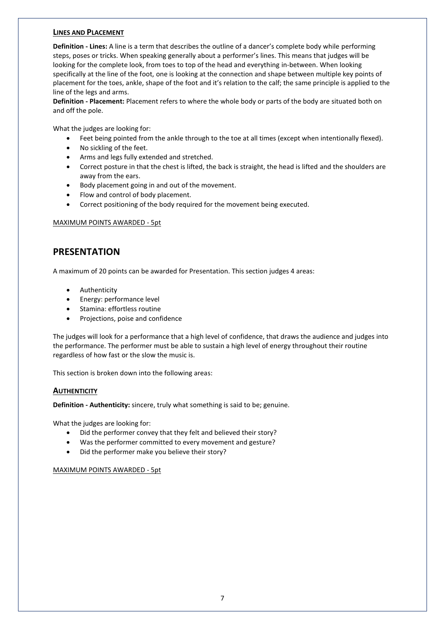#### **LINES AND PLACEMENT**

**Definition - Lines:** A line is a term that describes the outline of a dancer's complete body while performing steps, poses or tricks. When speaking generally about a performer's lines. This means that judges will be looking for the complete look, from toes to top of the head and everything in-between. When looking specifically at the line of the foot, one is looking at the connection and shape between multiple key points of placement for the toes, ankle, shape of the foot and it's relation to the calf; the same principle is applied to the line of the legs and arms.

**Definition - Placement:** Placement refers to where the whole body or parts of the body are situated both on and off the pole.

What the judges are looking for:

- Feet being pointed from the ankle through to the toe at all times (except when intentionally flexed).
- No sickling of the feet.
- Arms and legs fully extended and stretched.
- Correct posture in that the chest is lifted, the back is straight, the head is lifted and the shoulders are away from the ears.
- Body placement going in and out of the movement.
- Flow and control of body placement.
- Correct positioning of the body required for the movement being executed.

MAXIMUM POINTS AWARDED - 5pt

## **PRESENTATION**

A maximum of 20 points can be awarded for Presentation. This section judges 4 areas:

- Authenticity
- Energy: performance level
- Stamina: effortless routine
- Projections, poise and confidence

The judges will look for a performance that a high level of confidence, that draws the audience and judges into the performance. The performer must be able to sustain a high level of energy throughout their routine regardless of how fast or the slow the music is.

This section is broken down into the following areas:

#### **AUTHENTICITY**

**Definition - Authenticity:** sincere, truly what something is said to be; genuine.

What the judges are looking for:

- Did the performer convey that they felt and believed their story?
- Was the performer committed to every movement and gesture?
- Did the performer make you believe their story?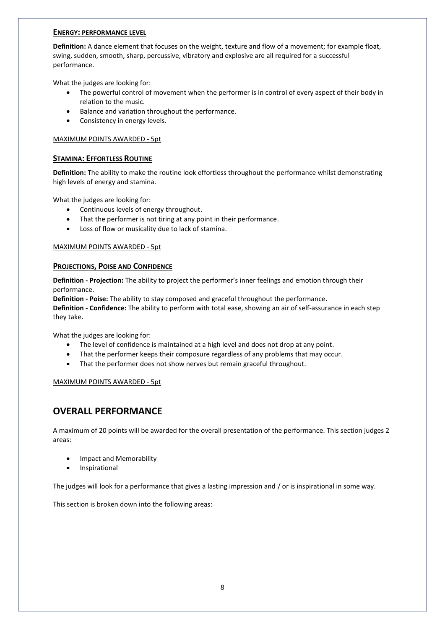#### **ENERGY: PERFORMANCE LEVEL**

**Definition:** A dance element that focuses on the weight, texture and flow of a movement; for example float, swing, sudden, smooth, sharp, percussive, vibratory and explosive are all required for a successful performance.

What the judges are looking for:

- The powerful control of movement when the performer is in control of every aspect of their body in relation to the music.
- Balance and variation throughout the performance.
- Consistency in energy levels.

#### MAXIMUM POINTS AWARDED - 5pt

#### **STAMINA: EFFORTLESS ROUTINE**

**Definition:** The ability to make the routine look effortless throughout the performance whilst demonstrating high levels of energy and stamina.

What the judges are looking for:

- Continuous levels of energy throughout.
- That the performer is not tiring at any point in their performance.
- Loss of flow or musicality due to lack of stamina.

#### MAXIMUM POINTS AWARDED - 5pt

#### **PROJECTIONS, POISE AND CONFIDENCE**

**Definition - Projection:** The ability to project the performer's inner feelings and emotion through their performance.

**Definition - Poise:** The ability to stay composed and graceful throughout the performance.

**Definition - Confidence:** The ability to perform with total ease, showing an air of self-assurance in each step they take.

What the judges are looking for:

- The level of confidence is maintained at a high level and does not drop at any point.
- That the performer keeps their composure regardless of any problems that may occur.
- That the performer does not show nerves but remain graceful throughout.

#### MAXIMUM POINTS AWARDED - 5pt

### **OVERALL PERFORMANCE**

A maximum of 20 points will be awarded for the overall presentation of the performance. This section judges 2 areas:

- Impact and Memorability
- Inspirational

The judges will look for a performance that gives a lasting impression and / or is inspirational in some way.

This section is broken down into the following areas: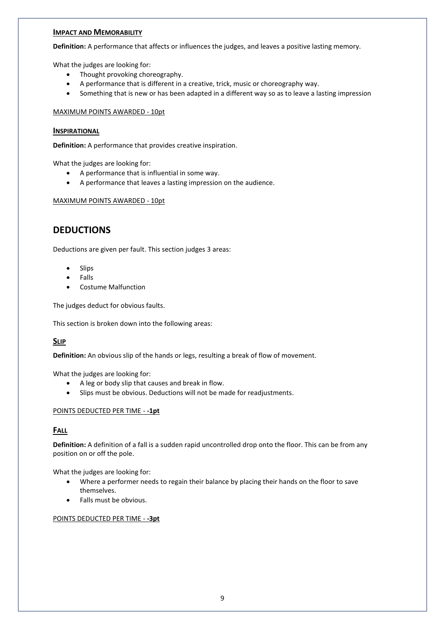#### **IMPACT AND MEMORABILITY**

**Definition:** A performance that affects or influences the judges, and leaves a positive lasting memory.

What the judges are looking for:

- Thought provoking choreography.
- A performance that is different in a creative, trick, music or choreography way.
- Something that is new or has been adapted in a different way so as to leave a lasting impression

#### MAXIMUM POINTS AWARDED - 10pt

#### **INSPIRATIONAL**

**Definition:** A performance that provides creative inspiration.

What the judges are looking for:

- A performance that is influential in some way.
- A performance that leaves a lasting impression on the audience.

#### MAXIMUM POINTS AWARDED - 10pt

## **DEDUCTIONS**

Deductions are given per fault. This section judges 3 areas:

- **Slips**
- Falls
- Costume Malfunction

The judges deduct for obvious faults.

This section is broken down into the following areas:

#### **SLIP**

**Definition:** An obvious slip of the hands or legs, resulting a break of flow of movement.

What the judges are looking for:

- A leg or body slip that causes and break in flow.
- Slips must be obvious. Deductions will not be made for readjustments.

#### POINTS DEDUCTED PER TIME - **-1pt**

#### **FALL**

**Definition:** A definition of a fall is a sudden rapid uncontrolled drop onto the floor. This can be from any position on or off the pole.

What the judges are looking for:

- Where a performer needs to regain their balance by placing their hands on the floor to save themselves.
- Falls must be obvious.

#### POINTS DEDUCTED PER TIME - **-3pt**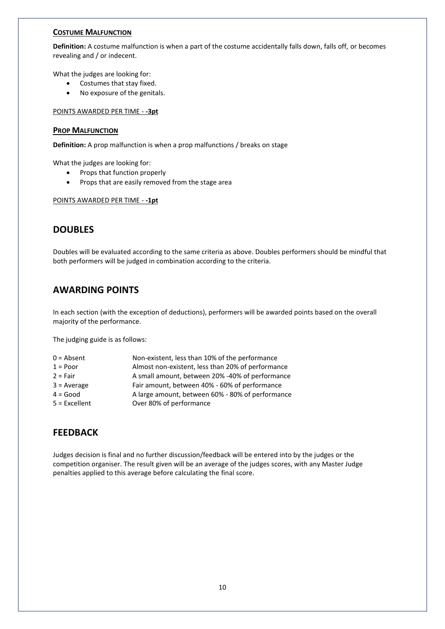#### **COSTUME MALFUNCTION**

**Definition:** A costume malfunction is when a part of the costume accidentally falls down, falls off, or becomes revealing and / or indecent.

What the judges are looking for:

- Costumes that stay fixed.
- No exposure of the genitals.

#### POINTS AWARDED PER TIME - **-3pt**

#### **PROP MALFUNCTION**

**Definition:** A prop malfunction is when a prop malfunctions / breaks on stage

What the judges are looking for:

- Props that function properly
- Props that are easily removed from the stage area

#### POINTS AWARDED PER TIME - **-1pt**

### **DOUBLES**

Doubles will be evaluated according to the same criteria as above. Doubles performers should be mindful that both performers will be judged in combination according to the criteria.

## **AWARDING POINTS**

In each section (with the exception of deductions), performers will be awarded points based on the overall majority of the performance.

The judging guide is as follows:

| Non-existent, less than 10% of the performance    |
|---------------------------------------------------|
| Almost non-existent, less than 20% of performance |
| A small amount, between 20% -40% of performance   |
| Fair amount, between 40% - 60% of performance     |
| A large amount, between 60% - 80% of performance  |
| Over 80% of performance                           |
|                                                   |

### **FEEDBACK**

Judges decision is final and no further discussion/feedback will be entered into by the judges or the competition organiser. The result given will be an average of the judges scores, with any Master Judge penalties applied to this average before calculating the final score.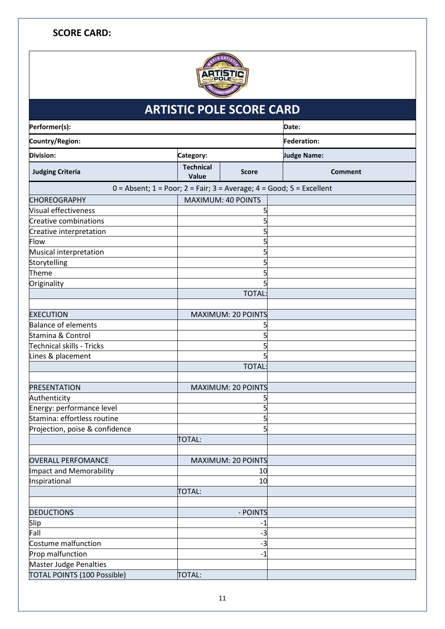## **SCORE CARD:**



| <b>ARTISTIC POLE SCORE CARD</b>  |                                                                                  |                           |                    |  |  |
|----------------------------------|----------------------------------------------------------------------------------|---------------------------|--------------------|--|--|
| Performer(s):                    |                                                                                  |                           | Date:              |  |  |
| Country/Region:                  |                                                                                  |                           | <b>Federation:</b> |  |  |
| <b>Division:</b>                 | Category:                                                                        |                           | <b>Judge Name:</b> |  |  |
| <b>Judging Criteria</b>          | <b>Technical</b><br>Value                                                        | <b>Score</b>              | <b>Comment</b>     |  |  |
|                                  | $0 =$ Absent; $1 =$ Poor; $2 =$ Fair; $3 =$ Average; $4 =$ Good; $5 =$ Excellent |                           |                    |  |  |
| <b>CHOREOGRAPHY</b>              | <b>MAXIMUM: 40 POINTS</b>                                                        |                           |                    |  |  |
| <b>Visual effectiveness</b>      |                                                                                  |                           |                    |  |  |
| <b>Creative combinations</b>     |                                                                                  |                           |                    |  |  |
| Creative interpretation          |                                                                                  |                           |                    |  |  |
| Flow                             |                                                                                  |                           |                    |  |  |
| Musical interpretation           |                                                                                  |                           |                    |  |  |
| Storytelling                     |                                                                                  |                           |                    |  |  |
| Theme                            |                                                                                  |                           |                    |  |  |
| Originality                      |                                                                                  |                           |                    |  |  |
|                                  |                                                                                  | <b>TOTAL</b>              |                    |  |  |
|                                  |                                                                                  |                           |                    |  |  |
| <b>EXECUTION</b>                 |                                                                                  | <b>MAXIMUM: 20 POINTS</b> |                    |  |  |
| <b>Balance of elements</b>       |                                                                                  |                           |                    |  |  |
| Stamina & Control                |                                                                                  |                           |                    |  |  |
| <b>Technical skills - Tricks</b> |                                                                                  |                           |                    |  |  |
| Lines & placement                |                                                                                  |                           |                    |  |  |
|                                  |                                                                                  | <b>TOTAL:</b>             |                    |  |  |
|                                  |                                                                                  |                           |                    |  |  |
| <b>PRESENTATION</b>              |                                                                                  | MAXIMUM: 20 POINTS        |                    |  |  |
| Authenticity                     |                                                                                  |                           |                    |  |  |
| Energy: performance level        |                                                                                  |                           |                    |  |  |
| Stamina: effortless routine      |                                                                                  | 5                         |                    |  |  |
| Projection, poise & confidence   |                                                                                  | 5                         |                    |  |  |
|                                  | <b>TOTAL:</b>                                                                    |                           |                    |  |  |
|                                  |                                                                                  |                           |                    |  |  |
| <b>OVERALL PERFOMANCE</b>        |                                                                                  | <b>MAXIMUM: 20 POINTS</b> |                    |  |  |
| <b>Impact and Memorability</b>   |                                                                                  | 10                        |                    |  |  |
| Inspirational                    |                                                                                  | 10                        |                    |  |  |
|                                  | <b>TOTAL:</b>                                                                    |                           |                    |  |  |
|                                  |                                                                                  |                           |                    |  |  |
| <b>DEDUCTIONS</b><br>Slip        |                                                                                  | - POINTS                  |                    |  |  |
| Fall                             |                                                                                  | $-1$<br>$-3$              |                    |  |  |
| Costume malfunction              |                                                                                  | $-3$                      |                    |  |  |
| Prop malfunction                 |                                                                                  | $-1$                      |                    |  |  |
| <b>Master Judge Penalties</b>    |                                                                                  |                           |                    |  |  |
| TOTAL POINTS (100 Possible)      | <b>TOTAL:</b>                                                                    |                           |                    |  |  |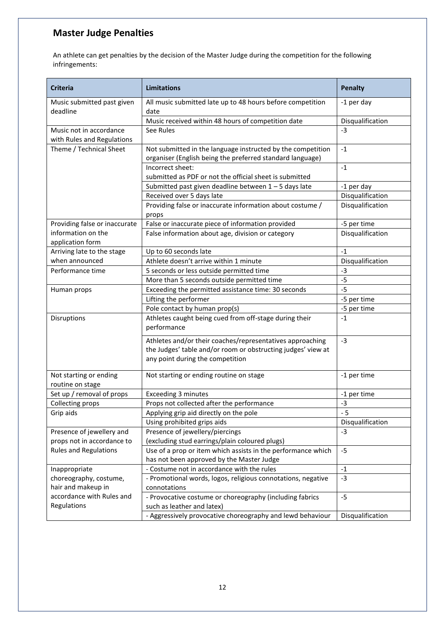## **Master Judge Penalties**

An athlete can get penalties by the decision of the Master Judge during the competition for the following infringements:

| <b>Criteria</b>                                 | <b>Limitations</b>                                                                                                                                            |                  |  |  |
|-------------------------------------------------|---------------------------------------------------------------------------------------------------------------------------------------------------------------|------------------|--|--|
| Music submitted past given<br>deadline          | All music submitted late up to 48 hours before competition<br>date                                                                                            | -1 per day       |  |  |
|                                                 | Music received within 48 hours of competition date                                                                                                            | Disqualification |  |  |
| Music not in accordance                         | See Rules                                                                                                                                                     | $-3$             |  |  |
| with Rules and Regulations                      |                                                                                                                                                               |                  |  |  |
| Theme / Technical Sheet                         | Not submitted in the language instructed by the competition                                                                                                   | $-1$             |  |  |
|                                                 | organiser (English being the preferred standard language)                                                                                                     |                  |  |  |
|                                                 | Incorrect sheet:                                                                                                                                              | $-1$             |  |  |
|                                                 | submitted as PDF or not the official sheet is submitted                                                                                                       |                  |  |  |
|                                                 | Submitted past given deadline between 1-5 days late                                                                                                           | -1 per day       |  |  |
|                                                 | Received over 5 days late                                                                                                                                     | Disqualification |  |  |
|                                                 | Providing false or inaccurate information about costume /                                                                                                     | Disqualification |  |  |
|                                                 | props                                                                                                                                                         |                  |  |  |
| Providing false or inaccurate                   | False or inaccurate piece of information provided                                                                                                             | -5 per time      |  |  |
| information on the<br>application form          | False information about age, division or category                                                                                                             | Disqualification |  |  |
| Arriving late to the stage                      | Up to 60 seconds late                                                                                                                                         | $-1$             |  |  |
| when announced                                  | Athlete doesn't arrive within 1 minute                                                                                                                        | Disqualification |  |  |
| Performance time                                | 5 seconds or less outside permitted time                                                                                                                      | $-3$             |  |  |
|                                                 | More than 5 seconds outside permitted time                                                                                                                    | $-5$             |  |  |
| Human props                                     | Exceeding the permitted assistance time: 30 seconds                                                                                                           | $-5$             |  |  |
|                                                 | Lifting the performer                                                                                                                                         | -5 per time      |  |  |
|                                                 | Pole contact by human prop(s)                                                                                                                                 | -5 per time      |  |  |
| Disruptions                                     | Athletes caught being cued from off-stage during their<br>performance                                                                                         | $-1$             |  |  |
|                                                 | Athletes and/or their coaches/representatives approaching<br>the Judges' table and/or room or obstructing judges' view at<br>any point during the competition | $-3$             |  |  |
|                                                 |                                                                                                                                                               |                  |  |  |
| Not starting or ending<br>routine on stage      | Not starting or ending routine on stage                                                                                                                       | -1 per time      |  |  |
| Set up / removal of props                       | Exceeding 3 minutes                                                                                                                                           | -1 per time      |  |  |
| Collecting props                                | Props not collected after the performance                                                                                                                     | $-3$             |  |  |
| Grip aids                                       | Applying grip aid directly on the pole                                                                                                                        | $-5$             |  |  |
|                                                 | Using prohibited grips aids                                                                                                                                   | Disqualification |  |  |
| Presence of jewellery and                       | Presence of jewellery/piercings                                                                                                                               | $-3$             |  |  |
| props not in accordance to                      | (excluding stud earrings/plain coloured plugs)                                                                                                                |                  |  |  |
| <b>Rules and Regulations</b>                    | Use of a prop or item which assists in the performance which<br>$-5$                                                                                          |                  |  |  |
|                                                 | has not been approved by the Master Judge                                                                                                                     |                  |  |  |
| Inappropriate                                   | - Costume not in accordance with the rules                                                                                                                    | $-1$             |  |  |
| choreography, costume,                          | - Promotional words, logos, religious connotations, negative                                                                                                  | $-3$             |  |  |
| hair and makeup in<br>accordance with Rules and | connotations                                                                                                                                                  |                  |  |  |
| Regulations                                     | - Provocative costume or choreography (including fabrics<br>such as leather and latex)                                                                        | $-5$             |  |  |
|                                                 | - Aggressively provocative choreography and lewd behaviour                                                                                                    | Disqualification |  |  |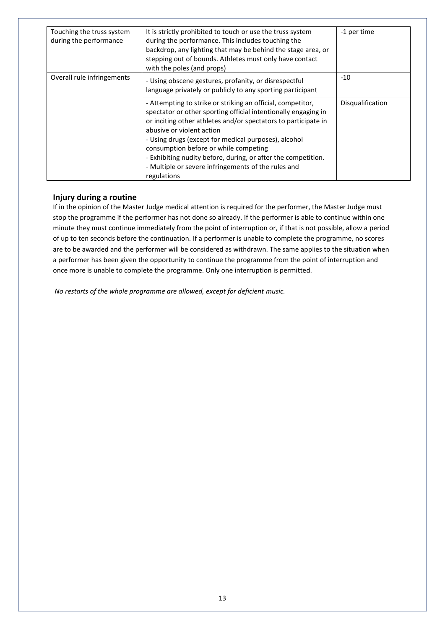| Touching the truss system<br>during the performance | It is strictly prohibited to touch or use the truss system<br>during the performance. This includes touching the<br>backdrop, any lighting that may be behind the stage area, or<br>stepping out of bounds. Athletes must only have contact<br>with the poles (and props)                                                                                                                                                                                            | -1 per time      |
|-----------------------------------------------------|----------------------------------------------------------------------------------------------------------------------------------------------------------------------------------------------------------------------------------------------------------------------------------------------------------------------------------------------------------------------------------------------------------------------------------------------------------------------|------------------|
| Overall rule infringements                          | - Using obscene gestures, profanity, or disrespectful<br>language privately or publicly to any sporting participant                                                                                                                                                                                                                                                                                                                                                  | $-10$            |
|                                                     | - Attempting to strike or striking an official, competitor,<br>spectator or other sporting official intentionally engaging in<br>or inciting other athletes and/or spectators to participate in<br>abusive or violent action<br>- Using drugs (except for medical purposes), alcohol<br>consumption before or while competing<br>- Exhibiting nudity before, during, or after the competition.<br>- Multiple or severe infringements of the rules and<br>regulations | Disqualification |

#### **Injury during a routine**

If in the opinion of the Master Judge medical attention is required for the performer, the Master Judge must stop the programme if the performer has not done so already. If the performer is able to continue within one minute they must continue immediately from the point of interruption or, if that is not possible, allow a period of up to ten seconds before the continuation. If a performer is unable to complete the programme, no scores are to be awarded and the performer will be considered as withdrawn. The same applies to the situation when a performer has been given the opportunity to continue the programme from the point of interruption and once more is unable to complete the programme. Only one interruption is permitted.

*No restarts of the whole programme are allowed, except for deficient music.*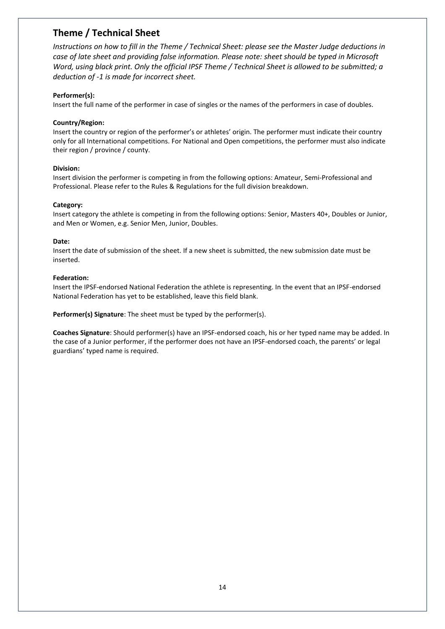## **Theme / Technical Sheet**

*Instructions on how to fill in the Theme / Technical Sheet: please see the Master Judge deductions in case of late sheet and providing false information. Please note: sheet should be typed in Microsoft Word, using black print. Only the official IPSF Theme / Technical Sheet is allowed to be submitted; a deduction of -1 is made for incorrect sheet.*

#### **Performer(s):**

Insert the full name of the performer in case of singles or the names of the performers in case of doubles.

#### **Country/Region:**

Insert the country or region of the performer's or athletes' origin. The performer must indicate their country only for all International competitions. For National and Open competitions, the performer must also indicate their region / province / county.

#### **Division:**

Insert division the performer is competing in from the following options: Amateur, Semi-Professional and Professional. Please refer to the Rules & Regulations for the full division breakdown.

#### **Category:**

Insert category the athlete is competing in from the following options: Senior, Masters 40+, Doubles or Junior, and Men or Women, e.g. Senior Men, Junior, Doubles.

#### **Date:**

Insert the date of submission of the sheet. If a new sheet is submitted, the new submission date must be inserted.

#### **Federation:**

Insert the IPSF-endorsed National Federation the athlete is representing. In the event that an IPSF-endorsed National Federation has yet to be established, leave this field blank.

**Performer(s) Signature**: The sheet must be typed by the performer(s).

**Coaches Signature**: Should performer(s) have an IPSF-endorsed coach, his or her typed name may be added. In the case of a Junior performer, if the performer does not have an IPSF-endorsed coach, the parents' or legal guardians' typed name is required.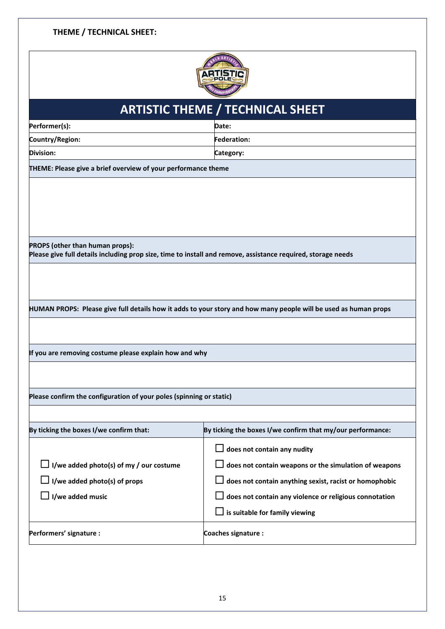#### **THEME / TECHNICAL SHEET:**



# **ARTISTIC THEME / TECHNICAL SHEET Performer(s): Date: Country/Region: Federation: Division: Category: THEME: Please give a brief overview of your performance theme PROPS (other than human props): Please give full details including prop size, time to install and remove, assistance required, storage needs HUMAN PROPS: Please give full details how it adds to your story and how many people will be used as human props If you are removing costume please explain how and why Please confirm the configuration of your poles (spinning or static) By ticking the boxes I/we confirm that: By ticking the boxes I/we confirm that my/our performance:** ☐ **I/we added photo(s) of my / our costume** ☐ **I/we added photo(s) of props** ☐ **I/we added music** ☐ **does not contain any nudity** ☐ **does not contain weapons or the simulation of weapons** ☐ **does not contain anything sexist, racist or homophobic** ☐ **does not contain any violence or religious connotation** ☐ **is suitable for family viewing** Performers' signature : **Coaches signature** : **Coaches signature** :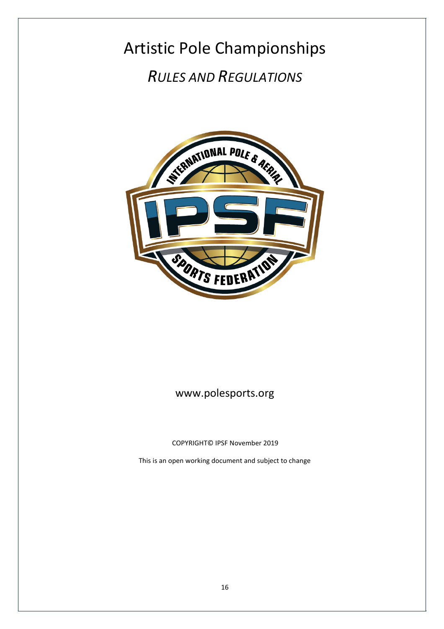## Artistic Pole Championships *RULES AND REGULATIONS*



## [www.polesports.org](http://www.polesports.org/)

COPYRIGHT© IPSF November 2019

This is an open working document and subject to change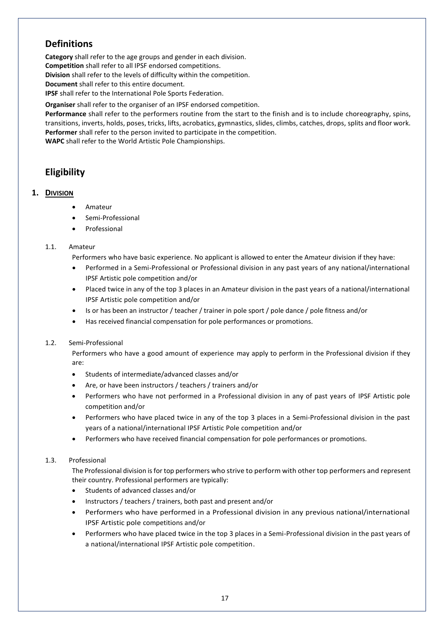## **Definitions**

**Category** shall refer to the age groups and gender in each division. **Competition** shall refer to all IPSF endorsed competitions. **Division** shall refer to the levels of difficulty within the competition. **Document** shall refer to this entire document. **IPSF** shall refer to the International Pole Sports Federation.

**Organiser** shall refer to the organiser of an IPSF endorsed competition.

**Performance** shall refer to the performers routine from the start to the finish and is to include choreography, spins, transitions, inverts, holds, poses, tricks, lifts, acrobatics, gymnastics, slides, climbs, catches, drops, splits and floor work. **Performer** shall refer to the person invited to participate in the competition.

**WAPC** shall refer to the World Artistic Pole Championships.

## **Eligibility**

#### **1. DIVISION**

- Amateur
- Semi-Professional
- **Professional**

#### 1.1. Amateur

Performers who have basic experience. No applicant is allowed to enter the Amateur division if they have:

- Performed in a Semi-Professional or Professional division in any past years of any national/international IPSF Artistic pole competition and/or
- Placed twice in any of the top 3 places in an Amateur division in the past years of a national/international IPSF Artistic pole competition and/or
- Is or has been an instructor / teacher / trainer in pole sport / pole dance / pole fitness and/or
- Has received financial compensation for pole performances or promotions.

#### 1.2. Semi-Professional

Performers who have a good amount of experience may apply to perform in the Professional division if they are:

- Students of intermediate/advanced classes and/or
- Are, or have been instructors / teachers / trainers and/or
- Performers who have not performed in a Professional division in any of past years of IPSF Artistic pole competition and/or
- Performers who have placed twice in any of the top 3 places in a Semi-Professional division in the past years of a national/international IPSF Artistic Pole competition and/or
- Performers who have received financial compensation for pole performances or promotions.

#### 1.3. Professional

The Professional division is for top performers who strive to perform with other top performers and represent their country. Professional performers are typically:

- Students of advanced classes and/or
- Instructors / teachers / trainers, both past and present and/or
- Performers who have performed in a Professional division in any previous national/international IPSF Artistic pole competitions and/or
- Performers who have placed twice in the top 3 places in a Semi-Professional division in the past years of a national/international IPSF Artistic pole competition.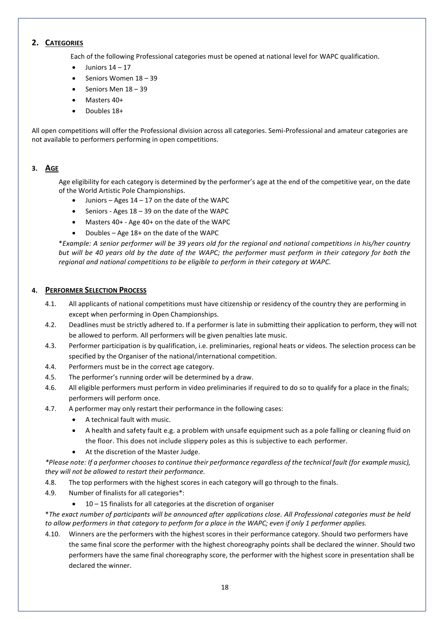#### **2. CATEGORIES**

Each of the following Professional categories must be opened at national level for WAPC qualification.

- Juniors 14 17
- Seniors Women 18 39
- Seniors Men 18 39
- Masters 40+
- Doubles 18+

All open competitions will offer the Professional division across all categories. Semi-Professional and amateur categories are not available to performers performing in open competitions.

#### **3. AGE**

Age eligibility for each category is determined by the performer's age at the end of the competitive year, on the date of the World Artistic Pole Championships.

- Juniors Ages  $14 17$  on the date of the WAPC
- Seniors Ages  $18 39$  on the date of the WAPC
- Masters 40+ Age 40+ on the date of the WAPC
- Doubles Age 18+ on the date of the WAPC

\**Example: A senior performer will be 39 years old for the regional and national competitions in his/her country but will be 40 years old by the date of the WAPC; the performer must perform in their category for both the regional and national competitions to be eligible to perform in their category at WAPC.*

#### **4. PERFORMER SELECTION PROCESS**

- 4.1. All applicants of national competitions must have citizenship or residency of the country they are performing in except when performing in Open Championships.
- 4.2. Deadlines must be strictly adhered to. If a performer is late in submitting their application to perform, they will not be allowed to perform. All performers will be given penalties late music.
- 4.3. Performer participation is by qualification, i.e. preliminaries, regional heats or videos. The selection process can be specified by the Organiser of the national/international competition.
- 4.4. Performers must be in the correct age category.
- 4.5. The performer's running order will be determined by a draw.
- 4.6. All eligible performers must perform in video preliminaries if required to do so to qualify for a place in the finals; performers will perform once.
- 4.7. A performer may only restart their performance in the following cases:
	- A technical fault with music.
	- A health and safety fault e.g. a problem with unsafe equipment such as a pole falling or cleaning fluid on the floor. This does not include slippery poles as this is subjective to each performer.
	- At the discretion of the Master Judge.

*\*Please note: If a performer chooses to continue their performance regardless of the technical fault (for example music), they will not be allowed to restart their performance.* 

- 4.8. The top performers with the highest scores in each category will go through to the finals.
- 4.9. Number of finalists for all categories\*:
	- 10 15 finalists for all categories at the discretion of organiser

\**The exact number of participants will be announced after applications close. All Professional categories must be held to allow performers in that category to perform for a place in the WAPC; even if only 1 performer applies.*

4.10. Winners are the performers with the highest scores in their performance category. Should two performers have the same final score the performer with the highest choreography points shall be declared the winner. Should two performers have the same final choreography score, the performer with the highest score in presentation shall be declared the winner.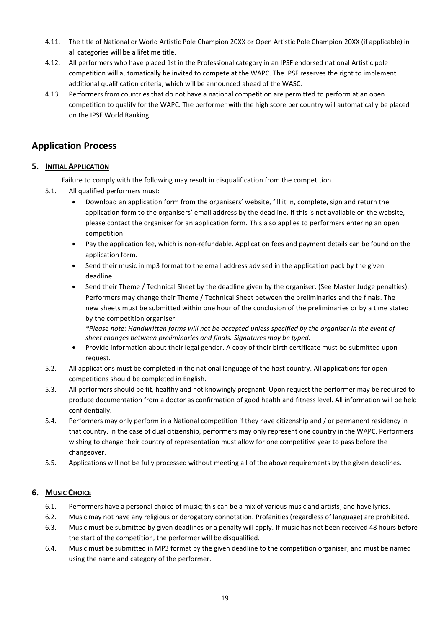- 4.11. The title of National or World Artistic Pole Champion 20XX or Open Artistic Pole Champion 20XX (if applicable) in all categories will be a lifetime title.
- 4.12. All performers who have placed 1st in the Professional category in an IPSF endorsed national Artistic pole competition will automatically be invited to compete at the WAPC. The IPSF reserves the right to implement additional qualification criteria, which will be announced ahead of the WASC.
- 4.13. Performers from countries that do not have a national competition are permitted to perform at an open competition to qualify for the WAPC. The performer with the high score per country will automatically be placed on the IPSF World Ranking.

## **Application Process**

#### **5. INITIAL APPLICATION**

Failure to comply with the following may result in disqualification from the competition.

- 5.1. All qualified performers must:
	- Download an application form from the organisers' website, fill it in, complete, sign and return the application form to the organisers' email address by the deadline. If this is not available on the website, please contact the organiser for an application form. This also applies to performers entering an open competition.
	- Pay the application fee, which is non-refundable. Application fees and payment details can be found on the application form.
	- Send their music in mp3 format to the email address advised in the application pack by the given deadline
	- Send their Theme / Technical Sheet by the deadline given by the organiser. (See Master Judge penalties). Performers may change their Theme / Technical Sheet between the preliminaries and the finals. The new sheets must be submitted within one hour of the conclusion of the preliminaries or by a time stated by the competition organiser

*\*Please note: Handwritten forms will not be accepted unless specified by the organiser in the event of sheet changes between preliminaries and finals. Signatures may be typed.* 

- Provide information about their legal gender. A copy of their birth certificate must be submitted upon request.
- 5.2. All applications must be completed in the national language of the host country. All applications for open competitions should be completed in English.
- 5.3. All performers should be fit, healthy and not knowingly pregnant. Upon request the performer may be required to produce documentation from a doctor as confirmation of good health and fitness level. All information will be held confidentially.
- 5.4. Performers may only perform in a National competition if they have citizenship and / or permanent residency in that country. In the case of dual citizenship, performers may only represent one country in the WAPC. Performers wishing to change their country of representation must allow for one competitive year to pass before the changeover.
- 5.5. Applications will not be fully processed without meeting all of the above requirements by the given deadlines.

#### **6. MUSIC CHOICE**

- 6.1. Performers have a personal choice of music; this can be a mix of various music and artists, and have lyrics.
- 6.2. Music may not have any religious or derogatory connotation. Profanities (regardless of language) are prohibited.
- 6.3. Music must be submitted by given deadlines or a penalty will apply. If music has not been received 48 hours before the start of the competition, the performer will be disqualified.
- 6.4. Music must be submitted in MP3 format by the given deadline to the competition organiser, and must be named using the name and category of the performe[r.](mailto:athletes@polesports.org)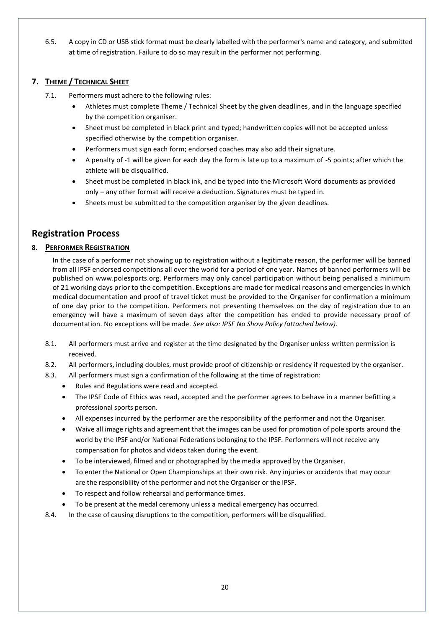6.5. A copy in CD or USB stick format must be clearly labelled with the performer's name and category, and submitted at time of registration. Failure to do so may result in the performer not performing.

#### **7. THEME / TECHNICAL SHEET**

- 7.1. Performers must adhere to the following rules:
	- Athletes must complete Theme / Technical Sheet by the given deadlines, and in the language specified by the competition organiser.
	- Sheet must be completed in black print and typed; handwritten copies will not be accepted unless specified otherwise by the competition organiser.
	- Performers must sign each form; endorsed coaches may also add their signature.
	- A penalty of -1 will be given for each day the form is late up to a maximum of -5 points; after which the athlete will be disqualified.
	- Sheet must be completed in black ink, and be typed into the Microsoft Word documents as provided only – any other format will receive a deduction. Signatures must be typed in.
	- Sheets must be submitted to the competition organiser by the given deadlines.

## **Registration Process**

#### **8. PERFORMER REGISTRATION**

In the case of a performer not showing up to registration without a legitimate reason, the performer will be banned from all IPSF endorsed competitions all over the world for a period of one year. Names of banned performers will be published on [www.polesports.org.](http://www.polesports.org/) Performers may only cancel participation without being penalised a minimum of 21 working days prior to the competition. Exceptions are made for medical reasons and emergencies in which medical documentation and proof of travel ticket must be provided to the Organiser for confirmation a minimum of one day prior to the competition. Performers not presenting themselves on the day of registration due to an emergency will have a maximum of seven days after the competition has ended to provide necessary proof of documentation. No exceptions will be made. *See also: IPSF No Show Policy (attached below).*

- 8.1. All performers must arrive and register at the time designated by the Organiser unless written permission is received.
- 8.2. All performers, including doubles, must provide proof of citizenship or residency if requested by the organiser.
- 8.3. All performers must sign a confirmation of the following at the time of registration:
	- Rules and Regulations were read and accepted.
		- The IPSF Code of Ethics was read, accepted and the performer agrees to behave in a manner befitting a professional sports person.
		- All expenses incurred by the performer are the responsibility of the performer and not the Organiser.
		- Waive all image rights and agreement that the images can be used for promotion of pole sports around the world by the IPSF and/or National Federations belonging to the IPSF. Performers will not receive any compensation for photos and videos taken during the event.
		- To be interviewed, filmed and or photographed by the media approved by the Organiser.
		- To enter the National or Open Championships at their own risk. Any injuries or accidents that may occur are the responsibility of the performer and not the Organiser or the IPSF.
		- To respect and follow rehearsal and performance times.
	- To be present at the medal ceremony unless a medical emergency has occurred.
- 8.4. In the case of causing disruptions to the competition, performers will be disqualified.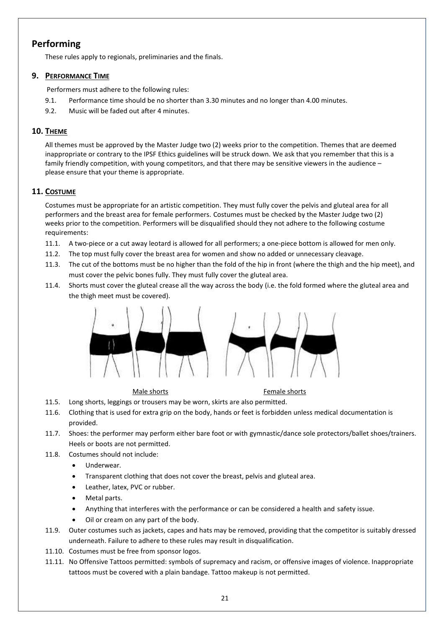## **Performing**

These rules apply to regionals, preliminaries and the finals.

#### **9. PERFORMANCE TIME**

Performers must adhere to the following rules:

- 9.1. Performance time should be no shorter than 3.30 minutes and no longer than 4.00 minutes.
- 9.2. Music will be faded out after 4 minutes.

#### **10. THEME**

All themes must be approved by the Master Judge two (2) weeks prior to the competition. Themes that are deemed inappropriate or contrary to the IPSF Ethics guidelines will be struck down. We ask that you remember that this is a family friendly competition, with young competitors, and that there may be sensitive viewers in the audience – please ensure that your theme is appropriate.

#### **11. COSTUME**

Costumes must be appropriate for an artistic competition. They must fully cover the pelvis and gluteal area for all performers and the breast area for female performers. Costumes must be checked by the Master Judge two (2) weeks prior to the competition. Performers will be disqualified should they not adhere to the following costume requirements:

- 11.1. A two-piece or a cut away leotard is allowed for all performers; a one-piece bottom is allowed for men only.
- 11.2. The top must fully cover the breast area for women and show no added or unnecessary cleavage.
- 11.3. The cut of the bottoms must be no higher than the fold of the hip in front (where the thigh and the hip meet), and must cover the pelvic bones fully. They must fully cover the gluteal area.
- 11.4. Shorts must cover the gluteal crease all the way across the body (i.e. the fold formed where the gluteal area and the thigh meet must be covered).



Male shorts **Female** shorts

- 11.5. Long shorts, leggings or trousers may be worn, skirts are also permitted.
- 11.6. Clothing that is used for extra grip on the body, hands or feet is forbidden unless medical documentation is provided.
- 11.7. Shoes: the performer may perform either bare foot or with gymnastic/dance sole protectors/ballet shoes/trainers. Heels or boots are not permitted.
- 11.8. Costumes should not include:
	- Underwear.
	- Transparent clothing that does not cover the breast, pelvis and gluteal area.
	- Leather, latex, PVC or rubber.
	- Metal parts.
	- Anything that interferes with the performance or can be considered a health and safety issue.
	- Oil or cream on any part of the body.
- 11.9. Outer costumes such as jackets, capes and hats may be removed, providing that the competitor is suitably dressed underneath. Failure to adhere to these rules may result in disqualification.
- 11.10. Costumes must be free from sponsor logos.
- 11.11. No Offensive Tattoos permitted: symbols of supremacy and racism, or offensive images of violence. Inappropriate tattoos must be covered with a plain bandage. Tattoo makeup is not permitted.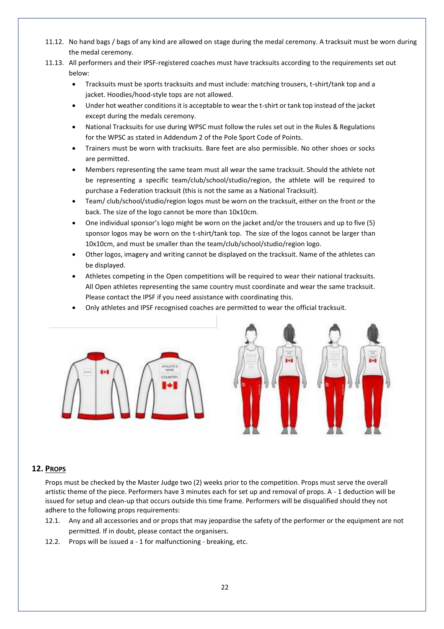- 11.12. No hand bags / bags of any kind are allowed on stage during the medal ceremony. A tracksuit must be worn during the medal ceremony.
- 11.13. All performers and their IPSF-registered coaches must have tracksuits according to the requirements set out below:
	- Tracksuits must be sports tracksuits and must include: matching trousers, t-shirt/tank top and a jacket. Hoodies/hood-style tops are not allowed.
	- Under hot weather conditions it is acceptable to wear the t-shirt or tank top instead of the jacket except during the medals ceremony.
	- National Tracksuits for use during WPSC must follow the rules set out in the Rules & Regulations for the WPSC as stated in Addendum 2 of the Pole Sport Code of Points.
	- Trainers must be worn with tracksuits. Bare feet are also permissible. No other shoes or socks are permitted.
	- Members representing the same team must all wear the same tracksuit. Should the athlete not be representing a specific team/club/school/studio/region, the athlete will be required to purchase a Federation tracksuit (this is not the same as a National Tracksuit).
	- Team/ club/school/studio/region logos must be worn on the tracksuit, either on the front or the back. The size of the logo cannot be more than 10x10cm.
	- One individual sponsor's logo might be worn on the jacket and/or the trousers and up to five (5) sponsor logos may be worn on the t-shirt/tank top. The size of the logos cannot be larger than 10x10cm, and must be smaller than the team/club/school/studio/region logo.
	- Other logos, imagery and writing cannot be displayed on the tracksuit. Name of the athletes can be displayed.
	- Athletes competing in the Open competitions will be required to wear their national tracksuits. All Open athletes representing the same country must coordinate and wear the same tracksuit. Please contact the IPSF if you need assistance with coordinating this.
	- Only athletes and IPSF recognised coaches are permitted to wear the official tracksuit.





#### **12. PROPS**

Props must be checked by the Master Judge two (2) weeks prior to the competition. Props must serve the overall artistic theme of the piece. Performers have 3 minutes each for set up and removal of props. A - 1 deduction will be issued for setup and clean-up that occurs outside this time frame. Performers will be disqualified should they not adhere to the following props requirements:

- 12.1. Any and all accessories and or props that may jeopardise the safety of the performer or the equipment are not permitted. If in doubt, please contact the organisers.
- 12.2. Props will be issued a 1 for malfunctioning breaking, etc.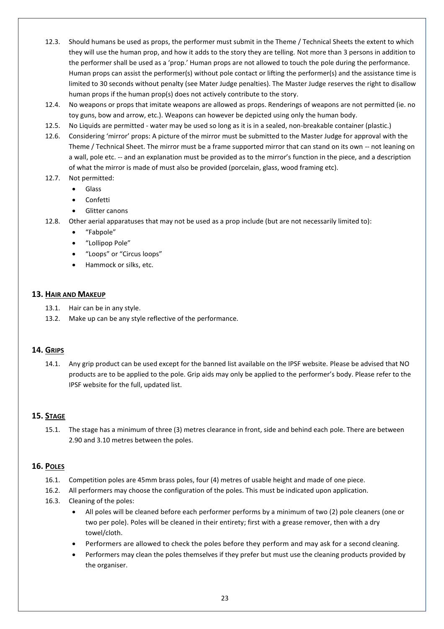- 12.3. Should humans be used as props, the performer must submit in the Theme / Technical Sheets the extent to which they will use the human prop, and how it adds to the story they are telling. Not more than 3 persons in addition to the performer shall be used as a 'prop.' Human props are not allowed to touch the pole during the performance. Human props can assist the performer(s) without pole contact or lifting the performer(s) and the assistance time is limited to 30 seconds without penalty (see Mater Judge penalties). The Master Judge reserves the right to disallow human props if the human prop(s) does not actively contribute to the story.
- 12.4. No weapons or props that imitate weapons are allowed as props. Renderings of weapons are not permitted (ie. no toy guns, bow and arrow, etc.). Weapons can however be depicted using only the human body.
- 12.5. No Liquids are permitted water may be used so long as it is in a sealed, non-breakable container (plastic.)
- 12.6. Considering 'mirror' props: A picture of the mirror must be submitted to the Master Judge for approval with the Theme / Technical Sheet. The mirror must be a frame supported mirror that can stand on its own -- not leaning on a wall, pole etc. -- and an explanation must be provided as to the mirror's function in the piece, and a description of what the mirror is made of must also be provided (porcelain, glass, wood framing etc).
- 12.7. Not permitted:
	- Glass
	- Confetti
	- Glitter canons
- 12.8. Other aerial apparatuses that may not be used as a prop include (but are not necessarily limited to):
	- "Fabpole"
	- "Lollipop Pole"
	- "Loops" or "Circus loops"
	- Hammock or silks, etc.

#### **13. HAIR AND MAKEUP**

- 13.1. Hair can be in any style.
- 13.2. Make up can be any style reflective of the performance.

#### **14. GRIPS**

14.1. Any grip product can be used except for the banned list available on the IPSF website. Please be advised that NO products are to be applied to the pole. Grip aids may only be applied to the performer's body. Please refer to the IPSF website for the full, updated list.

#### **15. STAGE**

15.1. The stage has a minimum of three (3) metres clearance in front, side and behind each pole. There are between 2.90 and 3.10 metres between the poles.

#### **16. POLES**

- 16.1. Competition poles are 45mm brass poles, four (4) metres of usable height and made of one piece.
- 16.2. All performers may choose the configuration of the poles. This must be indicated upon application.
- 16.3. Cleaning of the poles:
	- All poles will be cleaned before each performer performs by a minimum of two (2) pole cleaners (one or two per pole). Poles will be cleaned in their entirety; first with a grease remover, then with a dry towel/cloth.
	- Performers are allowed to check the poles before they perform and may ask for a second cleaning.
	- Performers may clean the poles themselves if they prefer but must use the cleaning products provided by the organiser.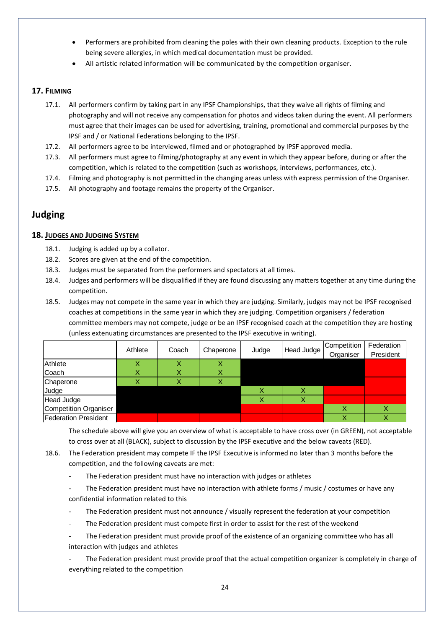- Performers are prohibited from cleaning the poles with their own cleaning products. Exception to the rule being severe allergies, in which medical documentation must be provided.
- All artistic related information will be communicated by the competition organiser.

#### **17. FILMING**

- 17.1. All performers confirm by taking part in any IPSF Championships, that they waive all rights of filming and photography and will not receive any compensation for photos and videos taken during the event. All performers must agree that their images can be used for advertising, training, promotional and commercial purposes by the IPSF and / or National Federations belonging to the IPSF.
- 17.2. All performers agree to be interviewed, filmed and or photographed by IPSF approved media.
- 17.3. All performers must agree to filming/photography at any event in which they appear before, during or after the competition, which is related to the competition (such as workshops, interviews, performances, etc.).
- 17.4. Filming and photography is not permitted in the changing areas unless with express permission of the Organiser.
- 17.5. All photography and footage remains the property of the Organiser.

## **Judging**

#### **18. JUDGES AND JUDGING SYSTEM**

- 18.1. Judging is added up by a collator.
- 18.2. Scores are given at the end of the competition.
- 18.3. Judges must be separated from the performers and spectators at all times.
- 18.4. Judges and performers will be disqualified if they are found discussing any matters together at any time during the competition.
- 18.5. Judges may not compete in the same year in which they are judging. Similarly, judges may not be IPSF recognised coaches at competitions in the same year in which they are judging. Competition organisers / federation committee members may not compete, judge or be an IPSF recognised coach at the competition they are hosting (unless extenuating circumstances are presented to the IPSF executive in writing).

|                       | Athlete | Coach | Chaperone |       | Head Judge | Competition | Federation |
|-----------------------|---------|-------|-----------|-------|------------|-------------|------------|
|                       |         |       |           | Judge |            | Organiser   | President  |
| Athlete               |         |       |           |       |            |             |            |
| Coach                 |         |       |           |       |            |             |            |
| Chaperone             |         |       |           |       |            |             |            |
| Judge                 |         |       |           |       |            |             |            |
| Head Judge            |         |       |           |       |            |             |            |
| Competition Organiser |         |       |           |       |            |             |            |
| Federation President  |         |       |           |       |            | v           |            |

The schedule above will give you an overview of what is acceptable to have cross over (in GREEN), not acceptable to cross over at all (BLACK), subject to discussion by the IPSF executive and the below caveats (RED).

- 18.6. The Federation president may compete IF the IPSF Executive is informed no later than 3 months before the competition, and the following caveats are met:
	- The Federation president must have no interaction with judges or athletes
	- The Federation president must have no interaction with athlete forms / music / costumes or have any confidential information related to this
	- The Federation president must not announce / visually represent the federation at your competition
	- The Federation president must compete first in order to assist for the rest of the weekend
	- The Federation president must provide proof of the existence of an organizing committee who has all interaction with judges and athletes

The Federation president must provide proof that the actual competition organizer is completely in charge of everything related to the competition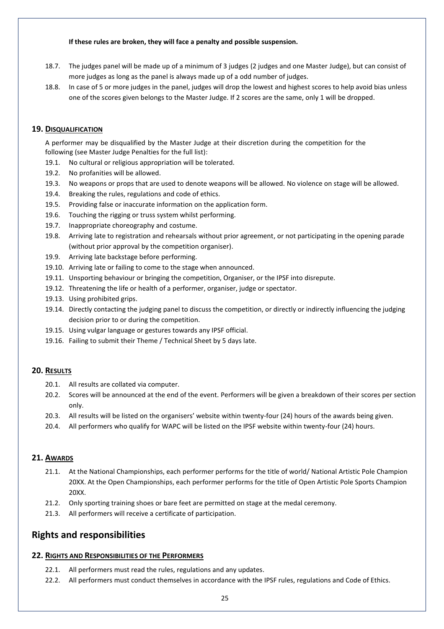#### **If these rules are broken, they will face a penalty and possible suspension.**

- 18.7. The judges panel will be made up of a minimum of 3 judges (2 judges and one Master Judge), but can consist of more judges as long as the panel is always made up of a odd number of judges.
- 18.8. In case of 5 or more judges in the panel, judges will drop the lowest and highest scores to help avoid bias unless one of the scores given belongs to the Master Judge. If 2 scores are the same, only 1 will be dropped.

#### **19. DISQUALIFICATION**

A performer may be disqualified by the Master Judge at their discretion during the competition for the following (see Master Judge Penalties for the full list):

- 19.1. No cultural or religious appropriation will be tolerated.
- 19.2. No profanities will be allowed.
- 19.3. No weapons or props that are used to denote weapons will be allowed. No violence on stage will be allowed.
- 19.4. Breaking the rules, regulations and code of ethics.
- 19.5. Providing false or inaccurate information on the application form.
- 19.6. Touching the rigging or truss system whilst performing.
- 19.7. Inappropriate choreography and costume.
- 19.8. Arriving late to registration and rehearsals without prior agreement, or not participating in the opening parade (without prior approval by the competition organiser).
- 19.9. Arriving late backstage before performing.
- 19.10. Arriving late or failing to come to the stage when announced.
- 19.11. Unsporting behaviour or bringing the competition, Organiser, or the IPSF into disrepute.
- 19.12. Threatening the life or health of a performer, organiser, judge or spectator.
- 19.13. Using prohibited grips.
- 19.14. Directly contacting the judging panel to discuss the competition, or directly or indirectly influencing the judging decision prior to or during the competition.
- 19.15. Using vulgar language or gestures towards any IPSF official.
- 19.16. Failing to submit their Theme / Technical Sheet by 5 days late.

#### **20. RESULTS**

- 20.1. All results are collated via computer.
- 20.2. Scores will be announced at the end of the event. Performers will be given a breakdown of their scores per section only.
- 20.3. All results will be listed on the organisers' website within twenty-four (24) hours of the awards being given.
- 20.4. All performers who qualify for WAPC will be listed on the IPSF website within twenty-four (24) hours.

#### **21. AWARDS**

- 21.1. At the National Championships, each performer performs for the title of world/ National Artistic Pole Champion 20XX. At the Open Championships, each performer performs for the title of Open Artistic Pole Sports Champion 20XX.
- 21.2. Only sporting training shoes or bare feet are permitted on stage at the medal ceremony.
- 21.3. All performers will receive a certificate of participation.

### **Rights and responsibilities**

#### **22. RIGHTS AND RESPONSIBILITIES OF THE PERFORMERS**

- 22.1. All performers must read the rules, regulations and any updates.
- 22.2. All performers must conduct themselves in accordance with the IPSF rules, regulations and Code of Ethics.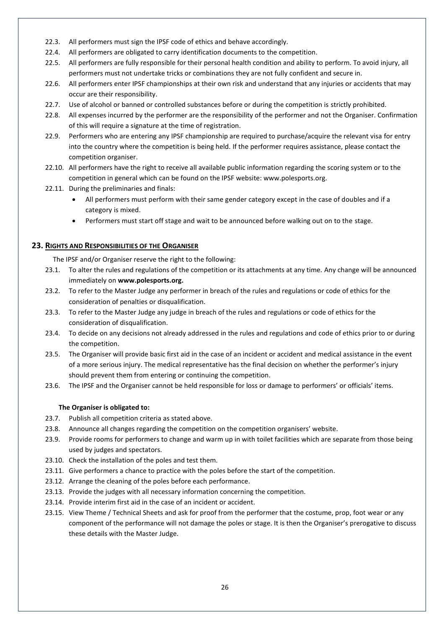- 22.3. All performers must sign the IPSF code of ethics and behave accordingly.
- 22.4. All performers are obligated to carry identification documents to the competition.
- 22.5. All performers are fully responsible for their personal health condition and ability to perform. To avoid injury, all performers must not undertake tricks or combinations they are not fully confident and secure in.
- 22.6. All performers enter IPSF championships at their own risk and understand that any injuries or accidents that may occur are their responsibility.
- 22.7. Use of alcohol or banned or controlled substances before or during the competition is strictly prohibited.
- 22.8. All expenses incurred by the performer are the responsibility of the performer and not the Organiser. Confirmation of this will require a signature at the time of registration.
- 22.9. Performers who are entering any IPSF championship are required to purchase/acquire the relevant visa for entry into the country where the competition is being held. If the performer requires assistance, please contact the competition organiser.
- 22.10. All performers have the right to receive all available public information regarding the scoring system or to the competition in general which can be found on the IPSF website: www.polesports.org.
- 22.11. During the preliminaries and finals:
	- All performers must perform with their same gender category except in the case of doubles and if a category is mixed.
	- Performers must start off stage and wait to be announced before walking out on to the stage.

#### **23. RIGHTS AND RESPONSIBILITIES OF THE ORGANISER**

The IPSF and/or Organiser reserve the right to the following:

- 23.1. To alter the rules and regulations of the competition or its attachments at any time. Any change will be announced immediately on **[www.polesports.org.](http://www.polesports.org./)**
- 23.2. To refer to the Master Judge any performer in breach of the rules and regulations or code of ethics for the consideration of penalties or disqualification.
- 23.3. To refer to the Master Judge any judge in breach of the rules and regulations or code of ethics for the consideration of disqualification.
- 23.4. To decide on any decisions not already addressed in the rules and regulations and code of ethics prior to or during the competition.
- 23.5. The Organiser will provide basic first aid in the case of an incident or accident and medical assistance in the event of a more serious injury. The medical representative has the final decision on whether the performer's injury should prevent them from entering or continuing the competition.
- 23.6. The IPSF and the Organiser cannot be held responsible for loss or damage to performers' or officials' items.

#### **The Organiser is obligated to:**

- 23.7. Publish all competition criteria as stated above.
- 23.8. Announce all changes regarding the competition on the competition organisers' website.
- 23.9. Provide rooms for performers to change and warm up in with toilet facilities which are separate from those being used by judges and spectators.
- 23.10. Check the installation of the poles and test them.
- 23.11. Give performers a chance to practice with the poles before the start of the competition.
- 23.12. Arrange the cleaning of the poles before each performance.
- 23.13. Provide the judges with all necessary information concerning the competition.
- 23.14. Provide interim first aid in the case of an incident or accident.
- 23.15. View Theme / Technical Sheets and ask for proof from the performer that the costume, prop, foot wear or any component of the performance will not damage the poles or stage. It is then the Organiser's prerogative to discuss these details with the Master Judge.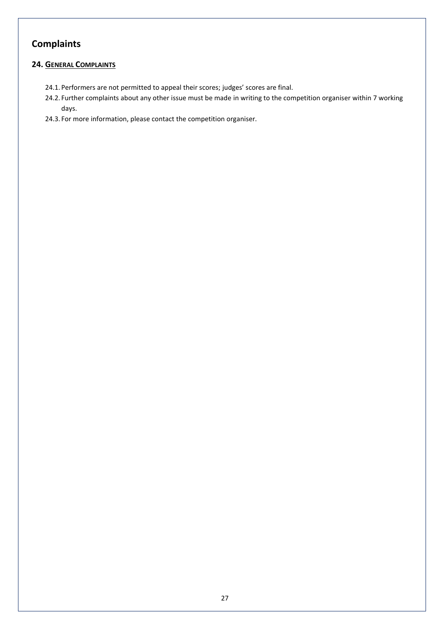## **Complaints**

### **24. GENERAL COMPLAINTS**

- 24.1. Performers are not permitted to appeal their scores; judges' scores are final.
- 24.2. Further complaints about any other issue must be made in writing to the competition organiser within 7 working days.
- 24.3. For more information, please contact [the](mailto:info@polesports.org%20.) competition organiser.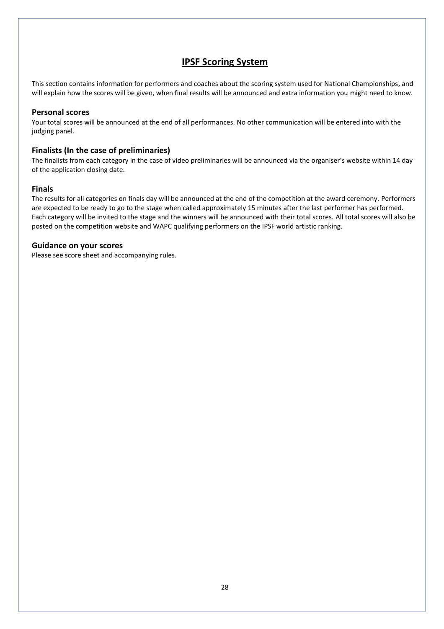## **IPSF Scoring System**

This section contains information for performers and coaches about the scoring system used for National Championships, and will explain how the scores will be given, when final results will be announced and extra information you might need to know.

#### **Personal scores**

Your total scores will be announced at the end of all performances. No other communication will be entered into with the judging panel.

#### **Finalists (In the case of preliminaries)**

The finalists from each category in the case of video preliminaries will be announced via the organiser's website within 14 day of the application closing date.

#### **Finals**

The results for all categories on finals day will be announced at the end of the competition at the award ceremony. Performers are expected to be ready to go to the stage when called approximately 15 minutes after the last performer has performed. Each category will be invited to the stage and the winners will be announced with their total scores. All total scores will also be posted on the competition website and WAPC qualifying performers on the IPSF world artistic ranking.

#### **Guidance on your scores**

Please see score sheet and accompanying rules.